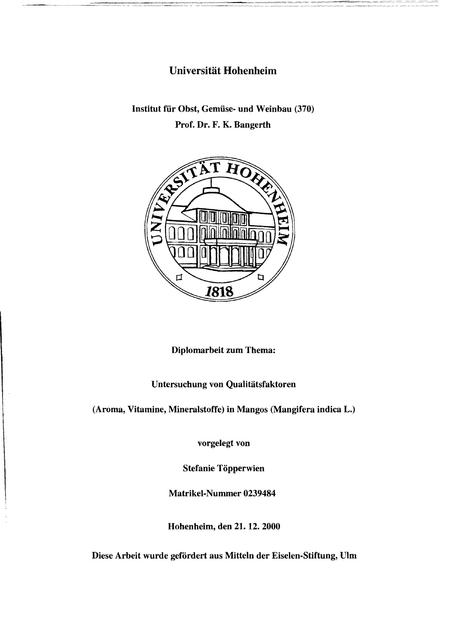## Universität Hohenheim

Institut für Obst, Gemüse- und Weinbau (370)

Prof. Dr. F. K. Bangerth



Diplomarbeit zum Thema:

## Untersuchung von Qualitätsfaktoren

(Aroma, Vitamine, Mineralstoffe) in Mangos (Mangifera indica L.)

vorgelegt von

Stefanie Töpperwien

Matrikel-Nummer 0239484

Hohenheim, den 21. 12. 2000

Diese Arbeit wurde gefördert aus Mitteln der Eiselen-Stiftung, Ulm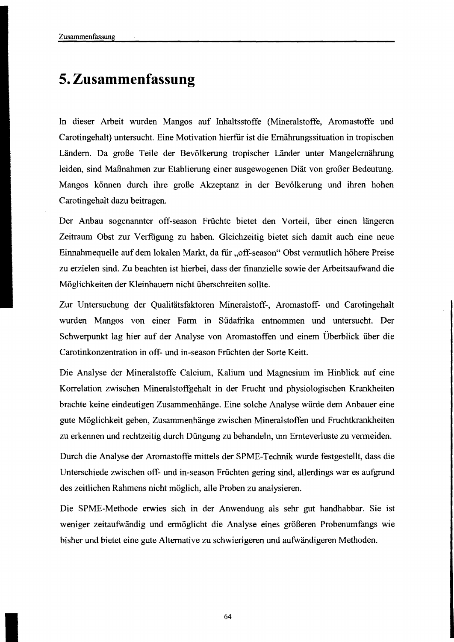## **5. Zusammenfassung**

In dieser Arbeit wurden Mangos auf Inhaltsstoffe (Mineralstoffe, Aromastoffe und Carotingehalt) untersucht. Eine Motivation hierfür ist die Ernährungssituation in tropischen Ländern. Da große Teile der Bevölkerung tropischer Länder unter Mangelernährung leiden, sind Maßnahmen zur Etablierung einer ausgewogenen Diät von großer Bedeutung. Mangos können durch ihre große Akzeptanz in der Bevölkerung und ihren hohen Carotingehalt dazu beitragen.

Der Anbau sogenannter off-season Früchte bietet den Vorteil, über einen längeren Zeitraum Obst zur Verfiigung zu haben. Gleichzeitig bietet sich damit auch eine neue Einnahmequelle auf dem lokalen Markt, da für "off-season" Obst vermutlich höhere Preise zu erzielen sind. Zu beachten ist hierbei, dass der finanzielle sowie der Arbeitsaufwand die Möglichkeiten der Kleinbauern nicht überschreiten sollte.

Zur Untersuchung der Qualitätsfaktoren Mineralstoff-, Aromastoff- und Carotingehalt wurden Mangos von einer Farm in Südafrika entnommen und untersucht. Der Schwerpunkt lag hier auf der Analyse von Aromastoffen und einem Überblick über die Carotinkonzentration in off- und in-season Früchten der Sorte Keitt.

Die Analyse der Mineralstoffe Calcium, Kalium und Magnesium im Hinblick auf eine Korrelation zwischen Mineralstoffgehalt in der Frucht und physiologischen Krankheiten brachte keine eindeutigen Zusammenhänge. Eine solche Analyse würde dem Anbauer eine gute Möglichkeit geben, Zusammenhänge zwischen Mineralstoffen und Fruchtkrankheiten zu erkennen und rechtzeitig durch Düngung zu behandeln, um Ernteverluste zu vermeiden.

Durch die Analyse der Aromastoffe mittels der SPME-Technik wurde festgestellt, dass die Unterschiede zwischen off- und in-season Früchten gering sind, allerdings war es aufgrund des zeitlichen Rahmens nicht möglich, alle Proben zu analysieren.

Die SPME-Methode erwies sich in der Anwendung als sehr gut handhabbar. Sie ist weniger zeitaufwändig und ermöglicht die Analyse eines größeren Probenumfangs wie bisher und bietet eine gute Alternative zu schwierigeren und aufwändigeren Methoden.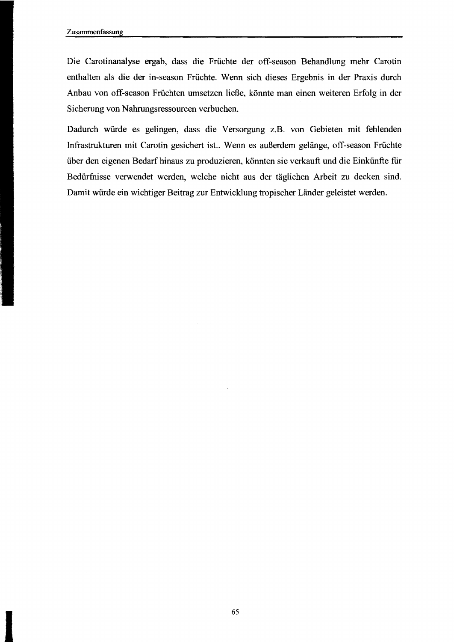Die Carotinanalyse ergab, dass die Fruchte der off-season Behandlung mehr Carotin enthalten als die der in-season Fruchte. Wenn sich dieses Ergebnis in der Praxis durch Anbau von off-season Fruchten umsetzen ließe, könnte man einen weiteren Erfolg in der Sicherung von Nahrungsressourcen verbuchen.

Dadurch würde es gelingen, dass die Versorgung z.B. von Gebieten mit fehlenden Infrastrukturen mit Carotin gesichert ist.. Wenn es außerdem gelänge, off-season Fruchte über den eigenen Bedarfhinaus zu produzieren, könnten sie verkauft und die Einkünfte für Bedürfnisse verwendet werden, welche nicht aus der täglichen Arbeit zu decken sind. Damit würde ein wichtiger Beitrag zur Entwicklung tropischer Länder geleistet werden.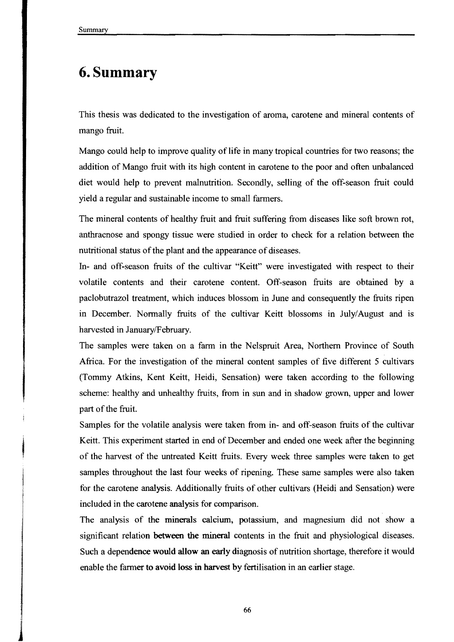## 6. Summary

This thesis was dedicated to the investigation of aroma, carotene and mineral contents of mango fruit.

Mango could help to improve quality of life in many tropical countries for two reasons; the addition of Mango fruit with its high content in carotene to the poor and often unbalanced diet would help to prevent malnutrition. Secondly, selling of the off-season fruit could yield a regular and sustainable income to small farmers.

The mineral contents of healthy fruit and fruit suffering from diseases like soft brown rot, anthracnose and spongy tissue were studied in order to check for a relation between the nutritional status of the plant and the appearance of diseases.

In- and off-season fruits of the cultivar "Keitt" were investigated with respect to their volatile contents and their carotene content. Off-season fruits are obtained by a paclobutrazol treatment, which induces blossom in lune and consequently the fruits ripen in December. Normally fruits of the cultivar Keitt blossoms in luly/August and is harvested in lanuary/February.

The sampIes were taken on a farm in the Nelspruit Area, Northem Province of South Africa. For the investigation of the mineral content samples of five different 5 cultivars (Tommy Atkins, Kent Keitt, Heidi, Sensation) were taken according to the following scheme: healthy and unhealthy fruits, from in sun and in shadow grown, upper and lower part of the fruit.

SampIes for the volatile analysis were taken from in- and off-season fruits of the cultivar Keitt. This experiment started in end of December and ended one week after the beginning of the harvest of the untreated Keitt fruits. Every week three sampIes were taken to get sampies throughout the last four weeks of ripening. These same sampies were also taken for the carotene analysis. Additionally fruits of other cultivars (Heidi and Sensation) were included in the carotene analysis for comparison.

The analysis of the minerals calcium, potassium, and magnesium did not show a significant relation between the mineral contents in the fruit and physiological diseases. Such a dependence would allow an early diagnosis of nutrition shortage, therefore it would enable the farmer to avoid loss in harvest by fertilisation in an earlier stage.

66